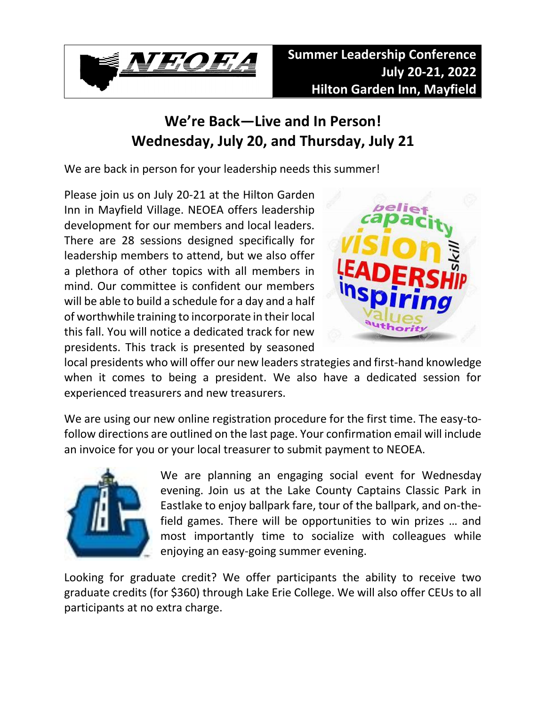

## **We're Back—Live and In Person! Wednesday, July 20, and Thursday, July 21**

We are back in person for your leadership needs this summer!

Please join us on July 20-21 at the Hilton Garden Inn in Mayfield Village. NEOEA offers leadership development for our members and local leaders. There are 28 sessions designed specifically for leadership members to attend, but we also offer a plethora of other topics with all members in mind. Our committee is confident our members will be able to build a schedule for a day and a half of worthwhile training to incorporate in their local this fall. You will notice a dedicated track for new presidents. This track is presented by seasoned



local presidents who will offer our new leaders strategies and first-hand knowledge when it comes to being a president. We also have a dedicated session for experienced treasurers and new treasurers.

We are using our new online registration procedure for the first time. The easy-tofollow directions are outlined on the last page. Your confirmation email will include an invoice for you or your local treasurer to submit payment to NEOEA.



We are planning an engaging social event for Wednesday evening. Join us at the Lake County Captains Classic Park in Eastlake to enjoy ballpark fare, tour of the ballpark, and on-thefield games. There will be opportunities to win prizes … and most importantly time to socialize with colleagues while enjoying an easy-going summer evening.

Looking for graduate credit? We offer participants the ability to receive two graduate credits (for \$360) through Lake Erie College. We will also offer CEUs to all participants at no extra charge.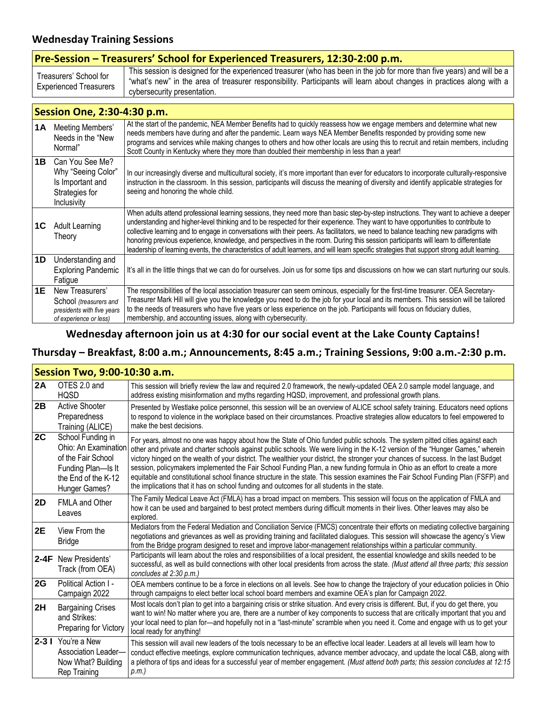#### **Wednesday Training Sessions**

| Pre-Session - Treasurers' School for Experienced Treasurers, 12:30-2:00 p.m. |                                                                                                                                                                                                                                                                                 |  |  |
|------------------------------------------------------------------------------|---------------------------------------------------------------------------------------------------------------------------------------------------------------------------------------------------------------------------------------------------------------------------------|--|--|
| Treasurers' School for<br><b>Experienced Treasurers</b>                      | This session is designed for the experienced treasurer (who has been in the job for more than five years) and will be a<br>"what's new" in the area of treasurer responsibility. Participants will learn about changes in practices along with a<br>cybersecurity presentation. |  |  |

#### **Session One, 2:30-4:30 p.m.**

| 1A        | Meeting Members'<br>Needs in the "New<br>Normal"                                                  | At the start of the pandemic, NEA Member Benefits had to quickly reassess how we engage members and determine what new<br>needs members have during and after the pandemic. Learn ways NEA Member Benefits responded by providing some new<br>programs and services while making changes to others and how other locals are using this to recruit and retain members, including<br>Scott County in Kentucky where they more than doubled their membership in less than a year!                                                                                                                                                                                                                             |
|-----------|---------------------------------------------------------------------------------------------------|------------------------------------------------------------------------------------------------------------------------------------------------------------------------------------------------------------------------------------------------------------------------------------------------------------------------------------------------------------------------------------------------------------------------------------------------------------------------------------------------------------------------------------------------------------------------------------------------------------------------------------------------------------------------------------------------------------|
| 1B        | Can You See Me?<br>Why "Seeing Color"<br>Is Important and<br>Strategies for<br>Inclusivity        | In our increasingly diverse and multicultural society, it's more important than ever for educators to incorporate culturally-responsive<br>instruction in the classroom. In this session, participants will discuss the meaning of diversity and identify applicable strategies for<br>seeing and honoring the whole child.                                                                                                                                                                                                                                                                                                                                                                                |
| 1C        | <b>Adult Learning</b><br>Theory                                                                   | When adults attend professional learning sessions, they need more than basic step-by-step instructions. They want to achieve a deeper<br>understanding and higher-level thinking and to be respected for their experience. They want to have opportunities to contribute to<br>collective learning and to engage in conversations with their peers. As facilitators, we need to balance teaching new paradigms with<br>honoring previous experience, knowledge, and perspectives in the room. During this session participants will learn to differentiate<br>leadership of learning events, the characteristics of adult learners, and will learn specific strategies that support strong adult learning. |
| 1D        | Understanding and<br><b>Exploring Pandemic</b><br>Fatigue                                         | It's all in the little things that we can do for ourselves. Join us for some tips and discussions on how we can start nurturing our souls.                                                                                                                                                                                                                                                                                                                                                                                                                                                                                                                                                                 |
| <b>1E</b> | New Treasurers'<br>School (treasurers and<br>presidents with five years<br>of experience or less) | The responsibilities of the local association treasurer can seem ominous, especially for the first-time treasurer. OEA Secretary-<br>Treasurer Mark Hill will give you the knowledge you need to do the job for your local and its members. This session will be tailored<br>to the needs of treasurers who have five years or less experience on the job. Participants will focus on fiduciary duties,<br>membership, and accounting issues, along with cybersecurity.                                                                                                                                                                                                                                    |

#### **Wednesday afternoon join us at 4:30 for our social event at the Lake County Captains!**

#### **Thursday – Breakfast, 8:00 a.m.; Announcements, 8:45 a.m.; Training Sessions, 9:00 a.m.-2:30 p.m.**

| Session Two, 9:00-10:30 a.m. |                                                                                                                               |                                                                                                                                                                                                                                                                                                                                                                                                                                                                                                                                                                                                                                                                                                                                                                          |  |
|------------------------------|-------------------------------------------------------------------------------------------------------------------------------|--------------------------------------------------------------------------------------------------------------------------------------------------------------------------------------------------------------------------------------------------------------------------------------------------------------------------------------------------------------------------------------------------------------------------------------------------------------------------------------------------------------------------------------------------------------------------------------------------------------------------------------------------------------------------------------------------------------------------------------------------------------------------|--|
| 2A                           | OTES 2.0 and<br><b>HOSD</b>                                                                                                   | This session will briefly review the law and required 2.0 framework, the newly-updated OEA 2.0 sample model language, and<br>address existing misinformation and myths regarding HQSD, improvement, and professional growth plans.                                                                                                                                                                                                                                                                                                                                                                                                                                                                                                                                       |  |
| 2B                           | <b>Active Shooter</b><br>Preparedness<br>Training (ALICE)                                                                     | Presented by Westlake police personnel, this session will be an overview of ALICE school safety training. Educators need options<br>to respond to violence in the workplace based on their circumstances. Proactive strategies allow educators to feel empowered to<br>make the best decisions.                                                                                                                                                                                                                                                                                                                                                                                                                                                                          |  |
| 2C                           | School Funding in<br>Ohio: An Examination<br>of the Fair School<br>Funding Plan-Is It<br>the End of the K-12<br>Hunger Games? | For years, almost no one was happy about how the State of Ohio funded public schools. The system pitted cities against each<br>other and private and charter schools against public schools. We were living in the K-12 version of the "Hunger Games," wherein<br>victory hinged on the wealth of your district. The wealthier your district, the stronger your chances of success. In the last Budget<br>session, policymakers implemented the Fair School Funding Plan, a new funding formula in Ohio as an effort to create a more<br>equitable and constitutional school finance structure in the state. This session examines the Fair School Funding Plan (FSFP) and<br>the implications that it has on school funding and outcomes for all students in the state. |  |
| <b>2D</b>                    | <b>FMLA and Other</b><br>Leaves                                                                                               | The Family Medical Leave Act (FMLA) has a broad impact on members. This session will focus on the application of FMLA and<br>how it can be used and bargained to best protect members during difficult moments in their lives. Other leaves may also be<br>explored.                                                                                                                                                                                                                                                                                                                                                                                                                                                                                                     |  |
| 2E                           | View From the<br>Bridge                                                                                                       | Mediators from the Federal Mediation and Conciliation Service (FMCS) concentrate their efforts on mediating collective bargaining<br>negotiations and grievances as well as providing training and facilitated dialogues. This session will showcase the agency's View<br>from the Bridge program designed to reset and improve labor-management relationships within a particular community.                                                                                                                                                                                                                                                                                                                                                                            |  |
|                              | 2-4F New Presidents'<br>Track (from OEA)                                                                                      | Participants will learn about the roles and responsibilities of a local president, the essential knowledge and skills needed to be<br>successful, as well as build connections with other local presidents from across the state. (Must attend all three parts; this session<br>concludes at 2:30 p.m.)                                                                                                                                                                                                                                                                                                                                                                                                                                                                  |  |
| 2G                           | Political Action I -<br>Campaign 2022                                                                                         | OEA members continue to be a force in elections on all levels. See how to change the trajectory of your education policies in Ohio<br>through campaigns to elect better local school board members and examine OEA's plan for Campaign 2022.                                                                                                                                                                                                                                                                                                                                                                                                                                                                                                                             |  |
| 2H                           | <b>Bargaining Crises</b><br>and Strikes:<br>Preparing for Victory                                                             | Most locals don't plan to get into a bargaining crisis or strike situation. And every crisis is different. But, if you do get there, you<br>want to win! No matter where you are, there are a number of key components to success that are critically important that you and<br>your local need to plan for-and hopefully not in a "last-minute" scramble when you need it. Come and engage with us to get your<br>local ready for anything!                                                                                                                                                                                                                                                                                                                             |  |
|                              | 2-3   You're a New<br>Association Leader-<br>Now What? Building<br>Rep Training                                               | This session will avail new leaders of the tools necessary to be an effective local leader. Leaders at all levels will learn how to<br>conduct effective meetings, explore communication techniques, advance member advocacy, and update the local C&B, along with<br>a plethora of tips and ideas for a successful year of member engagement. (Must attend both parts; this session concludes at 12:15<br>p.m.)                                                                                                                                                                                                                                                                                                                                                         |  |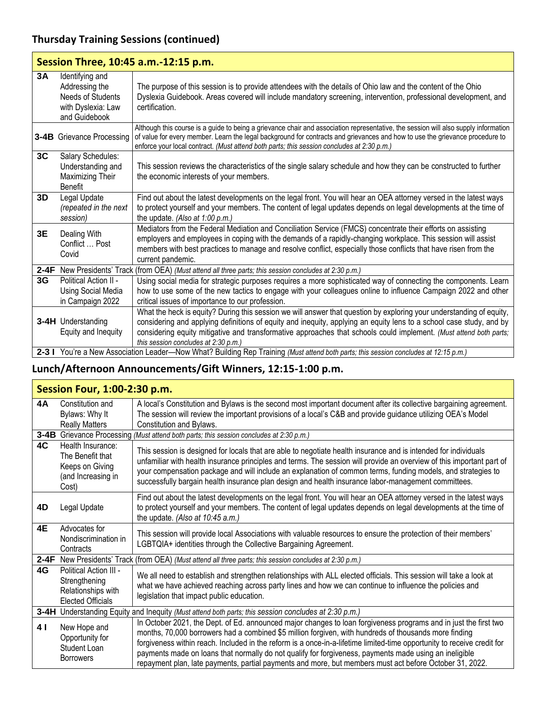## **Thursday Training Sessions (continued)**

| Session Three, 10:45 a.m.-12:15 p.m. |                                                                                               |                                                                                                                                                                                                                                                                                                                                                                                                           |  |
|--------------------------------------|-----------------------------------------------------------------------------------------------|-----------------------------------------------------------------------------------------------------------------------------------------------------------------------------------------------------------------------------------------------------------------------------------------------------------------------------------------------------------------------------------------------------------|--|
| 3A                                   | Identifying and<br>Addressing the<br>Needs of Students<br>with Dyslexia: Law<br>and Guidebook | The purpose of this session is to provide attendees with the details of Ohio law and the content of the Ohio<br>Dyslexia Guidebook. Areas covered will include mandatory screening, intervention, professional development, and<br>certification.                                                                                                                                                         |  |
|                                      | 3-4B Grievance Processing                                                                     | Although this course is a guide to being a grievance chair and association representative, the session will also supply information<br>of value for every member. Learn the legal background for contracts and grievances and how to use the grievance procedure to<br>enforce your local contract. (Must attend both parts; this session concludes at 2:30 p.m.)                                         |  |
| 3C                                   | Salary Schedules:<br>Understanding and<br>Maximizing Their<br><b>Benefit</b>                  | This session reviews the characteristics of the single salary schedule and how they can be constructed to further<br>the economic interests of your members.                                                                                                                                                                                                                                              |  |
| 3D                                   | Legal Update<br>(repeated in the next<br>session)                                             | Find out about the latest developments on the legal front. You will hear an OEA attorney versed in the latest ways<br>to protect yourself and your members. The content of legal updates depends on legal developments at the time of<br>the update. (Also at 1:00 p.m.)                                                                                                                                  |  |
| 3E                                   | Dealing With<br>Conflict  Post<br>Covid                                                       | Mediators from the Federal Mediation and Conciliation Service (FMCS) concentrate their efforts on assisting<br>employers and employees in coping with the demands of a rapidly-changing workplace. This session will assist<br>members with best practices to manage and resolve conflict, especially those conflicts that have risen from the<br>current pandemic.                                       |  |
|                                      |                                                                                               | 2-4F New Presidents' Track (from OEA) (Must attend all three parts; this session concludes at 2:30 p.m.)                                                                                                                                                                                                                                                                                                  |  |
| 3G                                   | Political Action II -<br><b>Using Social Media</b><br>in Campaign 2022                        | Using social media for strategic purposes requires a more sophisticated way of connecting the components. Learn<br>how to use some of the new tactics to engage with your colleagues online to influence Campaign 2022 and other<br>critical issues of importance to our profession.                                                                                                                      |  |
|                                      | <b>3-4H</b> Understanding<br>Equity and Inequity                                              | What the heck is equity? During this session we will answer that question by exploring your understanding of equity,<br>considering and applying definitions of equity and inequity, applying an equity lens to a school case study, and by<br>considering equity mitigative and transformative approaches that schools could implement. (Must attend both parts;<br>this session concludes at 2:30 p.m.) |  |
|                                      |                                                                                               | 2-3 I You're a New Association Leader—Now What? Building Rep Training (Must attend both parts; this session concludes at 12:15 p.m.)                                                                                                                                                                                                                                                                      |  |

## **Lunch/Afternoon Announcements/Gift Winners, 12:15-1:00 p.m.**

#### **Session Four, 1:00-2:30 p.m.**

| <b>4A</b> | Constitution and                                                                                            | A local's Constitution and Bylaws is the second most important document after its collective bargaining agreement.                                                                                                                                                                                                                                                                                                                                                                                                                                                        |  |  |
|-----------|-------------------------------------------------------------------------------------------------------------|---------------------------------------------------------------------------------------------------------------------------------------------------------------------------------------------------------------------------------------------------------------------------------------------------------------------------------------------------------------------------------------------------------------------------------------------------------------------------------------------------------------------------------------------------------------------------|--|--|
|           | Bylaws: Why It                                                                                              | The session will review the important provisions of a local's C&B and provide guidance utilizing OEA's Model                                                                                                                                                                                                                                                                                                                                                                                                                                                              |  |  |
|           | <b>Really Matters</b>                                                                                       | Constitution and Bylaws.                                                                                                                                                                                                                                                                                                                                                                                                                                                                                                                                                  |  |  |
|           | 3-4B Grievance Processing (Must attend both parts; this session concludes at 2:30 p.m.)                     |                                                                                                                                                                                                                                                                                                                                                                                                                                                                                                                                                                           |  |  |
| 4C        | Health Insurance:<br>The Benefit that<br>Keeps on Giving<br>(and Increasing in<br>Cost)                     | This session is designed for locals that are able to negotiate health insurance and is intended for individuals<br>unfamiliar with health insurance principles and terms. The session will provide an overview of this important part of<br>your compensation package and will include an explanation of common terms, funding models, and strategies to<br>successfully bargain health insurance plan design and health insurance labor-management committees.                                                                                                           |  |  |
| 4D        | Legal Update                                                                                                | Find out about the latest developments on the legal front. You will hear an OEA attorney versed in the latest ways<br>to protect yourself and your members. The content of legal updates depends on legal developments at the time of<br>the update. (Also at 10:45 a.m.)                                                                                                                                                                                                                                                                                                 |  |  |
| 4E        | Advocates for<br>Nondiscrimination in<br>Contracts                                                          | This session will provide local Associations with valuable resources to ensure the protection of their members'<br>LGBTQIA+ identities through the Collective Bargaining Agreement.                                                                                                                                                                                                                                                                                                                                                                                       |  |  |
|           |                                                                                                             | 2-4F New Presidents' Track (from OEA) (Must attend all three parts; this session concludes at 2:30 p.m.)                                                                                                                                                                                                                                                                                                                                                                                                                                                                  |  |  |
| 4G        | Political Action III -<br>Strengthening<br>Relationships with<br>Elected Officials                          | We all need to establish and strengthen relationships with ALL elected officials. This session will take a look at<br>what we have achieved reaching across party lines and how we can continue to influence the policies and<br>legislation that impact public education.                                                                                                                                                                                                                                                                                                |  |  |
|           | <b>3-4H</b> Understanding Equity and Inequity (Must attend both parts; this session concludes at 2:30 p.m.) |                                                                                                                                                                                                                                                                                                                                                                                                                                                                                                                                                                           |  |  |
| 4         | New Hope and<br>Opportunity for<br>Student Loan<br><b>Borrowers</b>                                         | In October 2021, the Dept. of Ed. announced major changes to loan forgiveness programs and in just the first two<br>months, 70,000 borrowers had a combined \$5 million forgiven, with hundreds of thousands more finding<br>forgiveness within reach. Included in the reform is a once-in-a-lifetime limited-time opportunity to receive credit for<br>payments made on loans that normally do not qualify for forgiveness, payments made using an ineligible<br>repayment plan, late payments, partial payments and more, but members must act before October 31, 2022. |  |  |